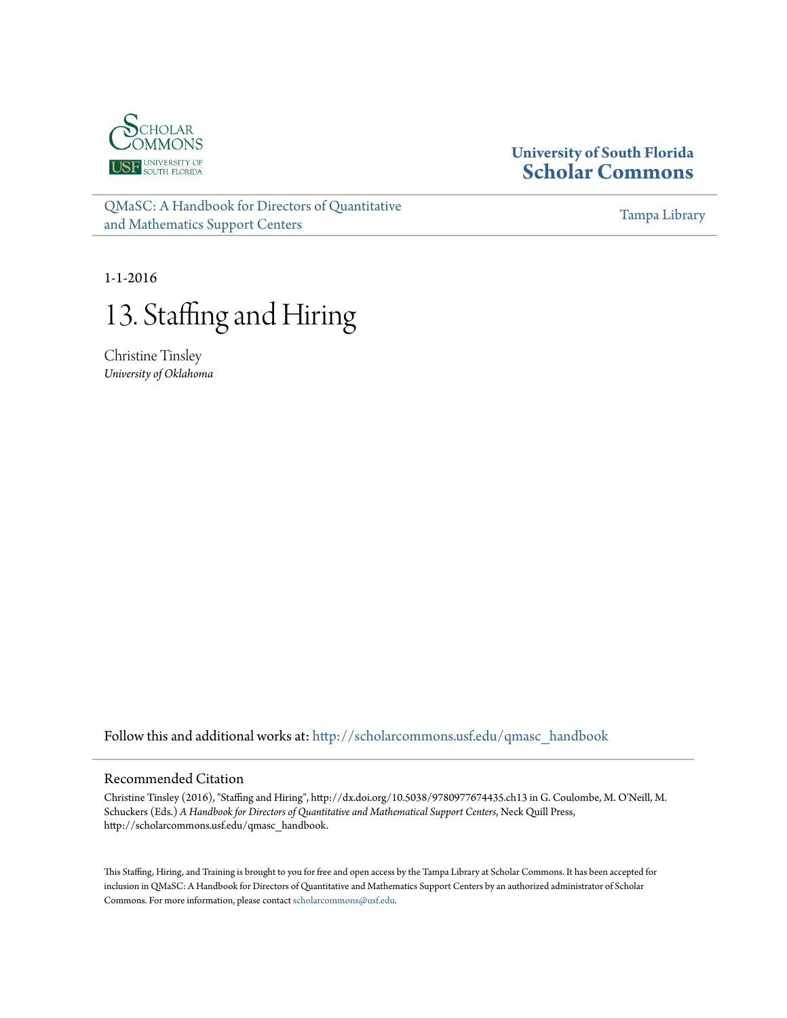

### **University of South Florida [Scholar Commons](http://scholarcommons.usf.edu?utm_source=scholarcommons.usf.edu%2Fqmasc_handbook%2F13&utm_medium=PDF&utm_campaign=PDFCoverPages)**

[QMaSC: A Handbook for Directors of Quantitative](http://scholarcommons.usf.edu/qmasc_handbook?utm_source=scholarcommons.usf.edu%2Fqmasc_handbook%2F13&utm_medium=PDF&utm_campaign=PDFCoverPages) [and Mathematics Support Centers](http://scholarcommons.usf.edu/qmasc_handbook?utm_source=scholarcommons.usf.edu%2Fqmasc_handbook%2F13&utm_medium=PDF&utm_campaign=PDFCoverPages)

[Tampa Library](http://scholarcommons.usf.edu/tlib?utm_source=scholarcommons.usf.edu%2Fqmasc_handbook%2F13&utm_medium=PDF&utm_campaign=PDFCoverPages)

1-1-2016

# 13. Staffing and Hiring

Christine Tinsley *University of Oklahoma*

Follow this and additional works at: [http://scholarcommons.usf.edu/qmasc\\_handbook](http://scholarcommons.usf.edu/qmasc_handbook?utm_source=scholarcommons.usf.edu%2Fqmasc_handbook%2F13&utm_medium=PDF&utm_campaign=PDFCoverPages)

#### Recommended Citation

Christine Tinsley (2016), "Staffing and Hiring", http://dx.doi.org/10.5038/9780977674435.ch13 in G. Coulombe, M. O'Neill, M. Schuckers (Eds.) *A Handbook for Directors of Quantitative and Mathematical Support Centers*, Neck Quill Press, http://scholarcommons.usf.edu/qmasc\_handbook.

This Staffing, Hiring, and Training is brought to you for free and open access by the Tampa Library at Scholar Commons. It has been accepted for inclusion in QMaSC: A Handbook for Directors of Quantitative and Mathematics Support Centers by an authorized administrator of Scholar Commons. For more information, please contact [scholarcommons@usf.edu](mailto:scholarcommons@usf.edu).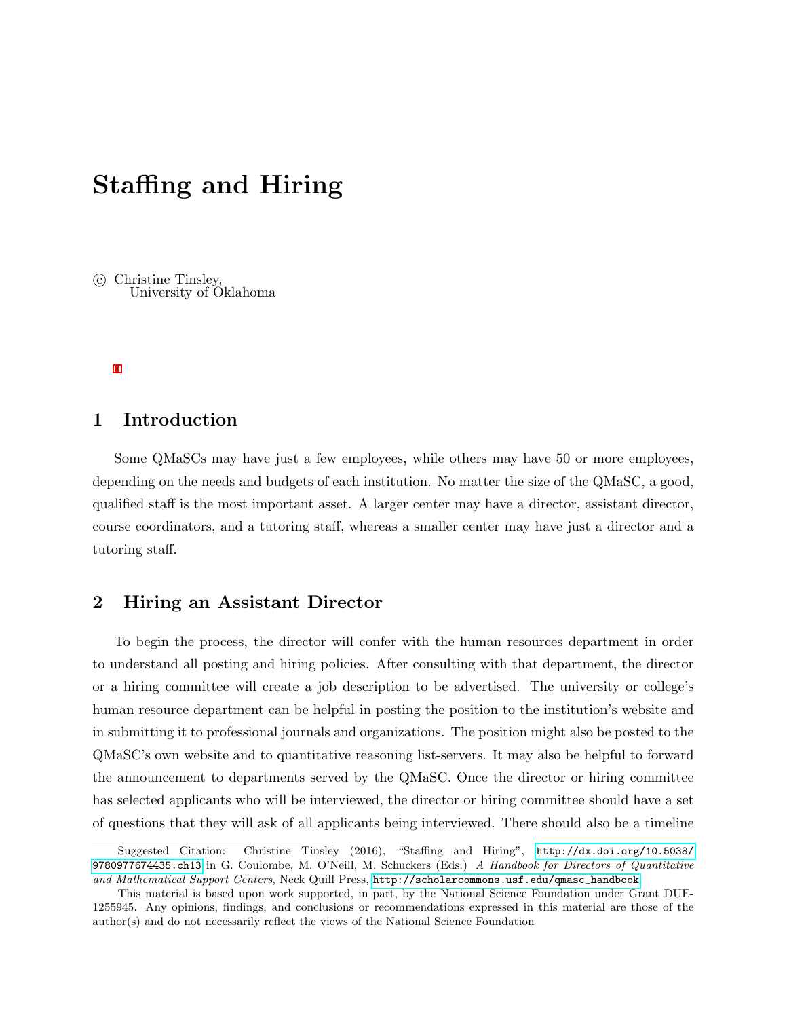## Staffing and Hiring

 c Christine Tinsley, University of Oklahoma

### 1 Introduction

Some QMaSCs may have just a few employees, while others may have 50 or more employees, depending on the needs and budgets of each institution. No matter the size of the QMaSC, a good, qualified staff is the most important asset. A larger center may have a director, assistant director, course coordinators, and a tutoring staff, whereas a smaller center may have just a director and a tutoring staff.

### 2 Hiring an Assistant Director

To begin the process, the director will confer with the human resources department in order to understand all posting and hiring policies. After consulting with that department, the director or a hiring committee will create a job description to be advertised. The university or college's human resource department can be helpful in posting the position to the institution's website and in submitting it to professional journals and organizations. The position might also be posted to the QMaSC's own website and to quantitative reasoning list-servers. It may also be helpful to forward the announcement to departments served by the QMaSC. Once the director or hiring committee has selected applicants who will be interviewed, the director or hiring committee should have a set of questions that they will ask of all applicants being interviewed. There should also be a timeline

Suggested Citation: Christine Tinsley (2016), "Staffing and Hiring", [http://dx.doi.org/10.5038/](http://dx.doi.org/10.5038/9780977674435.ch13) [9780977674435.ch13](http://dx.doi.org/10.5038/9780977674435.ch13) in G. Coulombe, M. O'Neill, M. Schuckers (Eds.) A Handbook for Directors of Quantitative and Mathematical Support Centers, Neck Quill Press, [http://scholarcommons.usf.edu/qmasc\\_handbook](http://scholarcommons.usf.edu/qmasc_handbook).

This material is based upon work supported, in part, by the National Science Foundation under Grant DUE-1255945. Any opinions, findings, and conclusions or recommendations expressed in this material are those of the author(s) and do not necessarily reflect the views of the National Science Foundation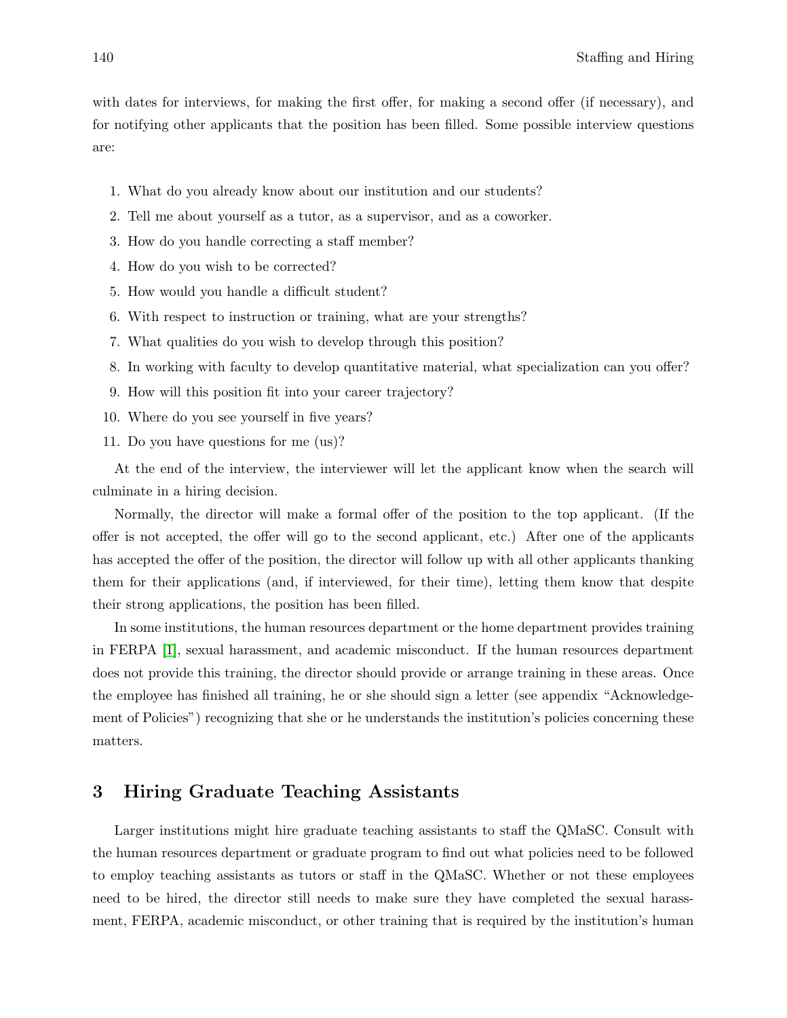with dates for interviews, for making the first offer, for making a second offer (if necessary), and for notifying other applicants that the position has been filled. Some possible interview questions are:

- 1. What do you already know about our institution and our students?
- 2. Tell me about yourself as a tutor, as a supervisor, and as a coworker.
- 3. How do you handle correcting a staff member?
- 4. How do you wish to be corrected?
- 5. How would you handle a difficult student?
- 6. With respect to instruction or training, what are your strengths?
- 7. What qualities do you wish to develop through this position?
- 8. In working with faculty to develop quantitative material, what specialization can you offer?
- 9. How will this position fit into your career trajectory?
- 10. Where do you see yourself in five years?
- 11. Do you have questions for me (us)?

At the end of the interview, the interviewer will let the applicant know when the search will culminate in a hiring decision.

Normally, the director will make a formal offer of the position to the top applicant. (If the offer is not accepted, the offer will go to the second applicant, etc.) After one of the applicants has accepted the offer of the position, the director will follow up with all other applicants thanking them for their applications (and, if interviewed, for their time), letting them know that despite their strong applications, the position has been filled.

In some institutions, the human resources department or the home department provides training in FERPA [1], sexual harassment, and academic misconduct. If the human resources department does not provide this training, the director should provide or arrange training in these areas. Once the employee has finished all training, he or she should sign a letter (see appendix "Acknowledgement of Policies") recognizing that she or he understands the institution's policies concerning these matters.

### 3 Hiring Graduate Teaching Assistants

Larger institutions might hire graduate teaching assistants to staff the QMaSC. Consult with the human resources department or graduate program to find out what policies need to be followed to employ teaching assistants as tutors or staff in the QMaSC. Whether or not these employees need to be hired, the director still needs to make sure they have completed the sexual harassment, FERPA, academic misconduct, or other training that is required by the institution's human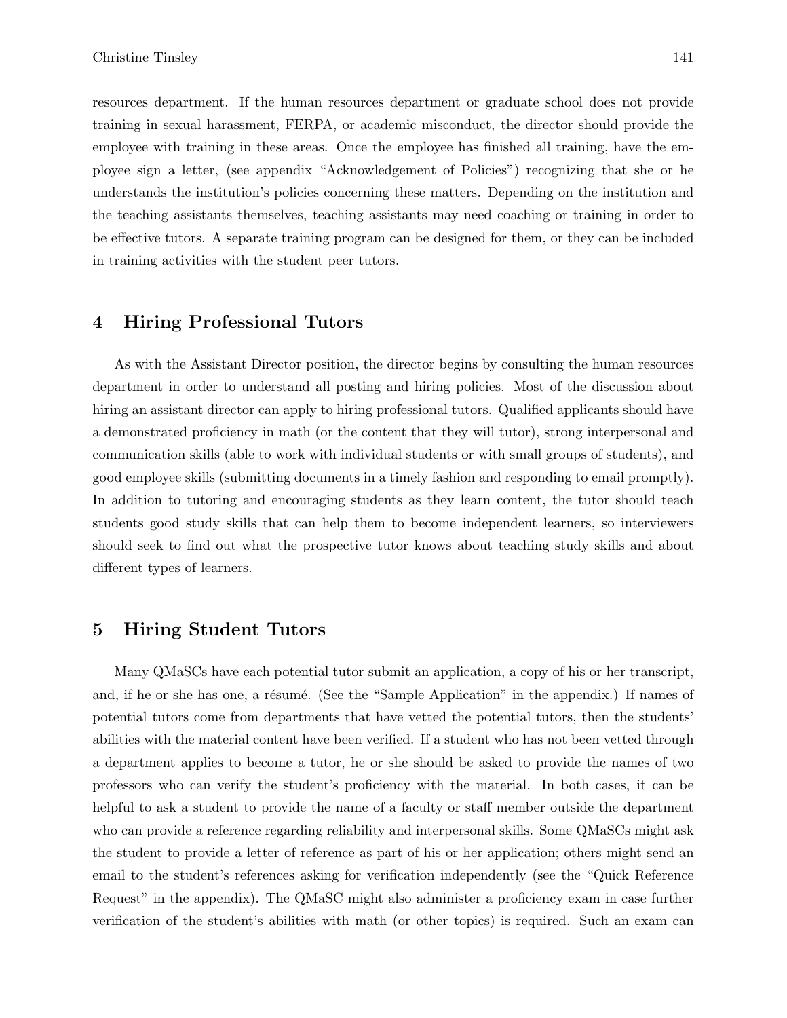resources department. If the human resources department or graduate school does not provide training in sexual harassment, FERPA, or academic misconduct, the director should provide the employee with training in these areas. Once the employee has finished all training, have the employee sign a letter, (see appendix "Acknowledgement of Policies") recognizing that she or he understands the institution's policies concerning these matters. Depending on the institution and the teaching assistants themselves, teaching assistants may need coaching or training in order to be effective tutors. A separate training program can be designed for them, or they can be included in training activities with the student peer tutors.

#### 4 Hiring Professional Tutors

As with the Assistant Director position, the director begins by consulting the human resources department in order to understand all posting and hiring policies. Most of the discussion about hiring an assistant director can apply to hiring professional tutors. Qualified applicants should have a demonstrated proficiency in math (or the content that they will tutor), strong interpersonal and communication skills (able to work with individual students or with small groups of students), and good employee skills (submitting documents in a timely fashion and responding to email promptly). In addition to tutoring and encouraging students as they learn content, the tutor should teach students good study skills that can help them to become independent learners, so interviewers should seek to find out what the prospective tutor knows about teaching study skills and about different types of learners.

### 5 Hiring Student Tutors

Many QMaSCs have each potential tutor submit an application, a copy of his or her transcript, and, if he or she has one, a résumé. (See the "Sample Application" in the appendix.) If names of potential tutors come from departments that have vetted the potential tutors, then the students' abilities with the material content have been verified. If a student who has not been vetted through a department applies to become a tutor, he or she should be asked to provide the names of two professors who can verify the student's proficiency with the material. In both cases, it can be helpful to ask a student to provide the name of a faculty or staff member outside the department who can provide a reference regarding reliability and interpersonal skills. Some QMaSCs might ask the student to provide a letter of reference as part of his or her application; others might send an email to the student's references asking for verification independently (see the "Quick Reference Request" in the appendix). The QMaSC might also administer a proficiency exam in case further verification of the student's abilities with math (or other topics) is required. Such an exam can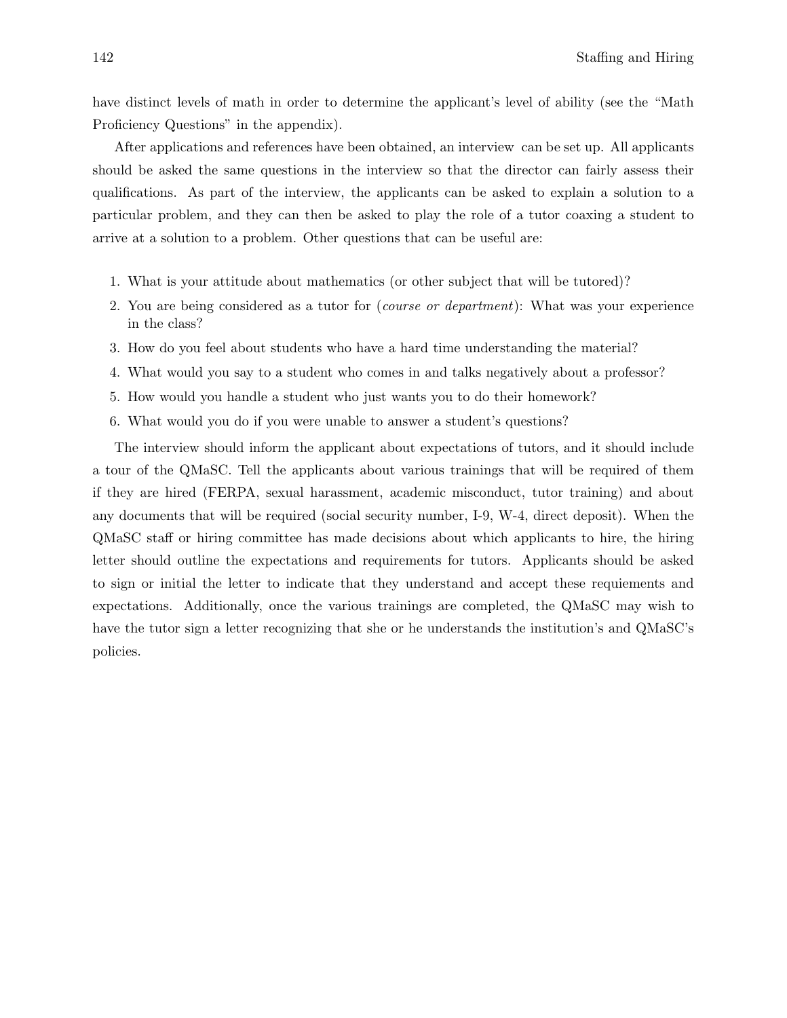have distinct levels of math in order to determine the applicant's level of ability (see the "Math Proficiency Questions" in the appendix).

After applications and references have been obtained, an interview can be set up. All applicants should be asked the same questions in the interview so that the director can fairly assess their qualifications. As part of the interview, the applicants can be asked to explain a solution to a particular problem, and they can then be asked to play the role of a tutor coaxing a student to arrive at a solution to a problem. Other questions that can be useful are:

- 1. What is your attitude about mathematics (or other subject that will be tutored)?
- 2. You are being considered as a tutor for (course or department): What was your experience in the class?
- 3. How do you feel about students who have a hard time understanding the material?
- 4. What would you say to a student who comes in and talks negatively about a professor?
- 5. How would you handle a student who just wants you to do their homework?
- 6. What would you do if you were unable to answer a student's questions?

The interview should inform the applicant about expectations of tutors, and it should include a tour of the QMaSC. Tell the applicants about various trainings that will be required of them if they are hired (FERPA, sexual harassment, academic misconduct, tutor training) and about any documents that will be required (social security number, I-9, W-4, direct deposit). When the QMaSC staff or hiring committee has made decisions about which applicants to hire, the hiring letter should outline the expectations and requirements for tutors. Applicants should be asked to sign or initial the letter to indicate that they understand and accept these requiements and expectations. Additionally, once the various trainings are completed, the QMaSC may wish to have the tutor sign a letter recognizing that she or he understands the institution's and QMaSC's policies.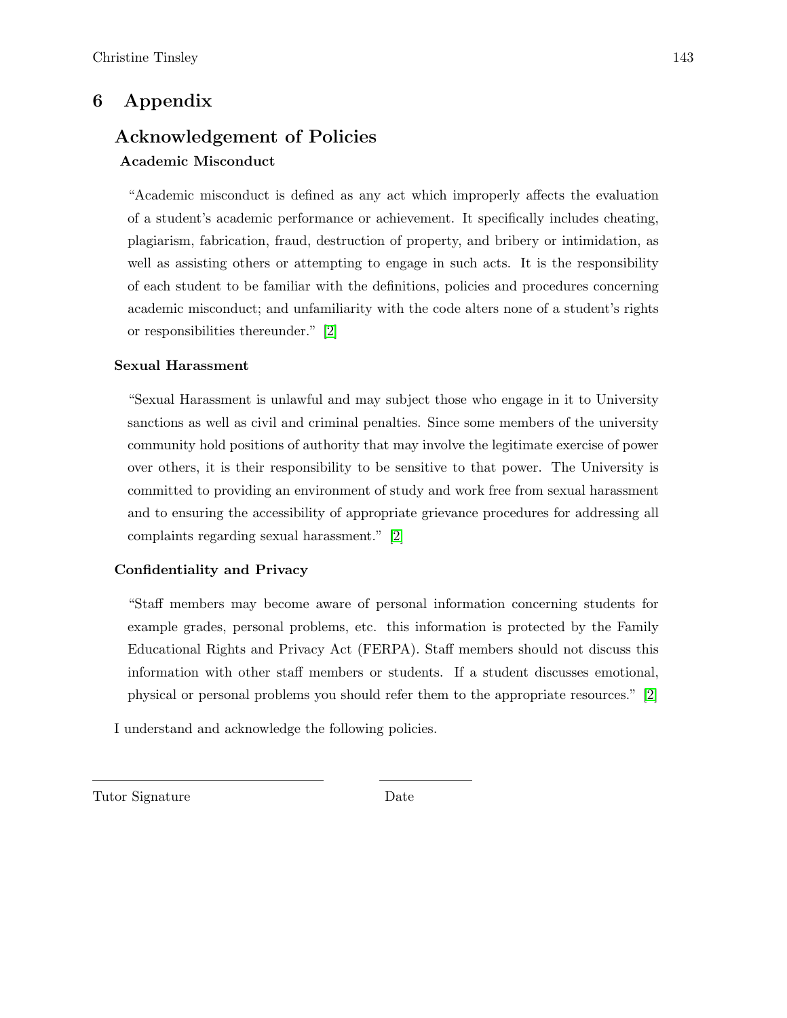### 6 Appendix

### Acknowledgement of Policies Academic Misconduct

"Academic misconduct is defined as any act which improperly affects the evaluation of a student's academic performance or achievement. It specifically includes cheating, plagiarism, fabrication, fraud, destruction of property, and bribery or intimidation, as well as assisting others or attempting to engage in such acts. It is the responsibility of each student to be familiar with the definitions, policies and procedures concerning academic misconduct; and unfamiliarity with the code alters none of a student's rights or responsibilities thereunder." [2]

### Sexual Harassment

"Sexual Harassment is unlawful and may subject those who engage in it to University sanctions as well as civil and criminal penalties. Since some members of the university community hold positions of authority that may involve the legitimate exercise of power over others, it is their responsibility to be sensitive to that power. The University is committed to providing an environment of study and work free from sexual harassment and to ensuring the accessibility of appropriate grievance procedures for addressing all complaints regarding sexual harassment." [2]

### Confidentiality and Privacy

"Staff members may become aware of personal information concerning students for example grades, personal problems, etc. this information is protected by the Family Educational Rights and Privacy Act (FERPA). Staff members should not discuss this information with other staff members or students. If a student discusses emotional, physical or personal problems you should refer them to the appropriate resources." [2]

I understand and acknowledge the following policies.

Tutor Signature Date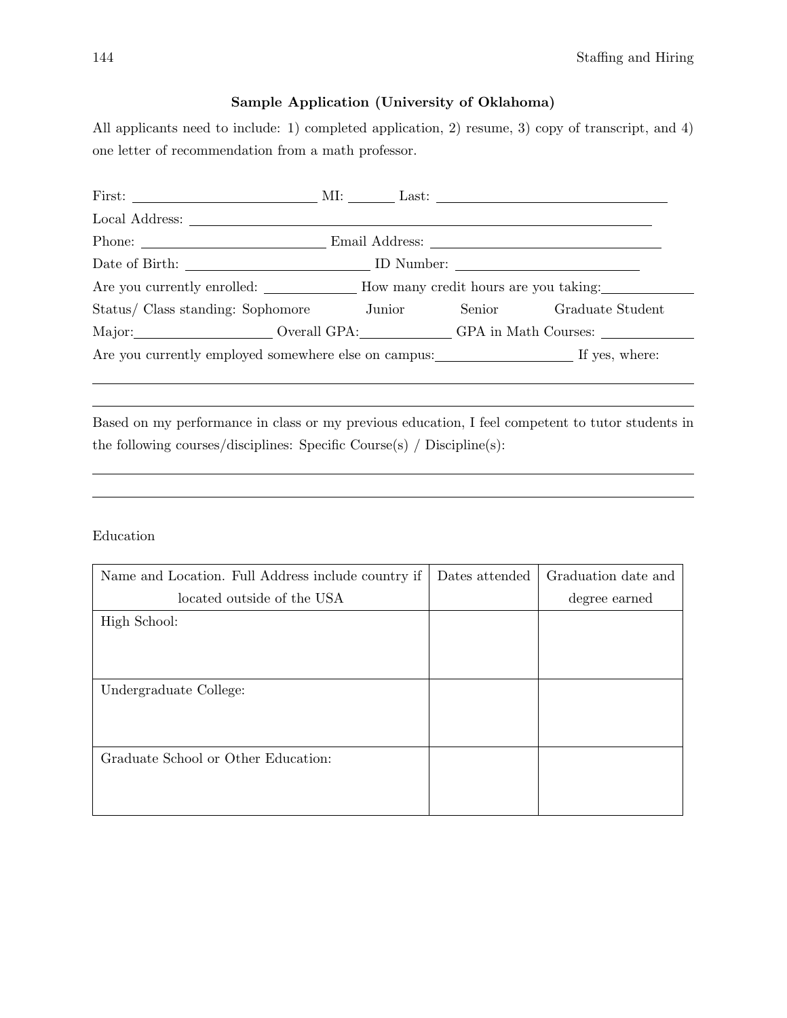### Sample Application (University of Oklahoma)

All applicants need to include: 1) completed application, 2) resume, 3) copy of transcript, and 4) one letter of recommendation from a math professor.

| Date of Birth: ID Number:                                         |  |  |                                          |  |
|-------------------------------------------------------------------|--|--|------------------------------------------|--|
| Are you currently enrolled: How many credit hours are you taking: |  |  |                                          |  |
| Status/ Class standing: Sophomore Junior                          |  |  | Senior Graduate Student                  |  |
|                                                                   |  |  | Major: Overall GPA: GPA in Math Courses: |  |
|                                                                   |  |  |                                          |  |

Based on my performance in class or my previous education, I feel competent to tutor students in the following courses/disciplines: Specific Course(s) / Discipline(s):

Education

| Name and Location. Full Address include country if | Dates attended | Graduation date and |
|----------------------------------------------------|----------------|---------------------|
| located outside of the USA                         |                | degree earned       |
| High School:                                       |                |                     |
|                                                    |                |                     |
|                                                    |                |                     |
| Undergraduate College:                             |                |                     |
|                                                    |                |                     |
|                                                    |                |                     |
| Graduate School or Other Education:                |                |                     |
|                                                    |                |                     |
|                                                    |                |                     |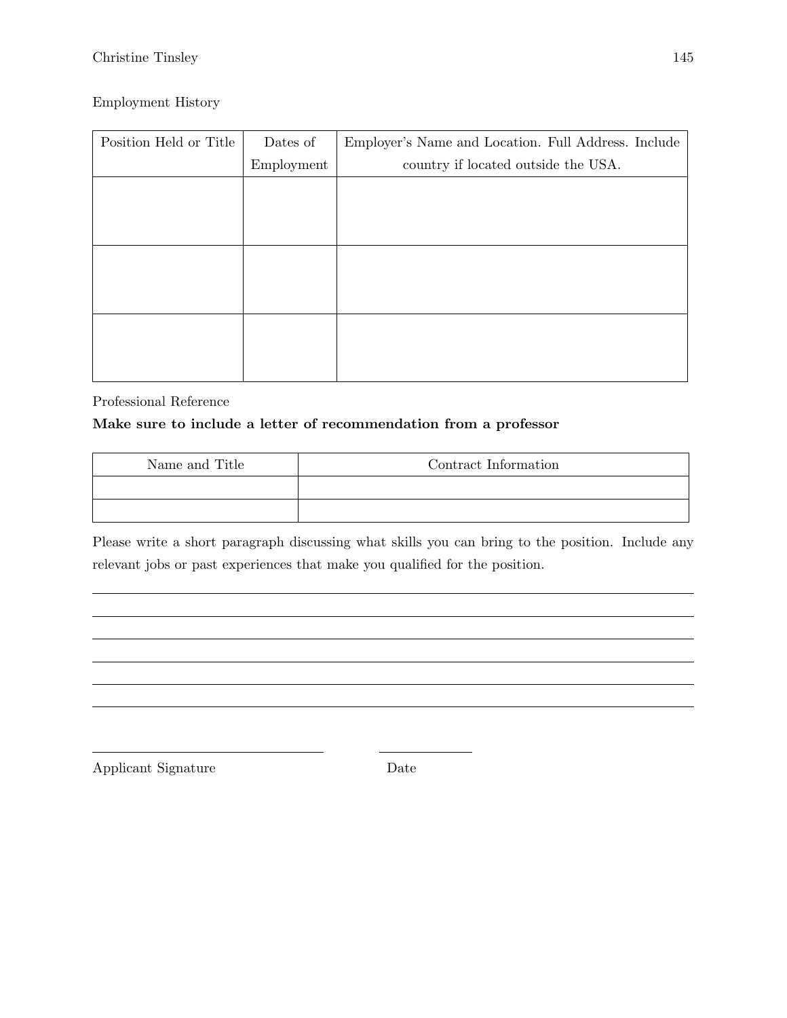### Christine Tinsley 145

### Employment History

| Position Held or Title | Dates of   | Employer's Name and Location. Full Address. Include |
|------------------------|------------|-----------------------------------------------------|
|                        | Employment | country if located outside the USA.                 |
|                        |            |                                                     |
|                        |            |                                                     |
|                        |            |                                                     |
|                        |            |                                                     |
|                        |            |                                                     |
|                        |            |                                                     |
|                        |            |                                                     |
|                        |            |                                                     |
|                        |            |                                                     |

Professional Reference

### Make sure to include a letter of recommendation from a professor

| Name and Title | Contract Information |
|----------------|----------------------|
|                |                      |
|                |                      |

Please write a short paragraph discussing what skills you can bring to the position. Include any relevant jobs or past experiences that make you qualified for the position.

Applicant Signature Date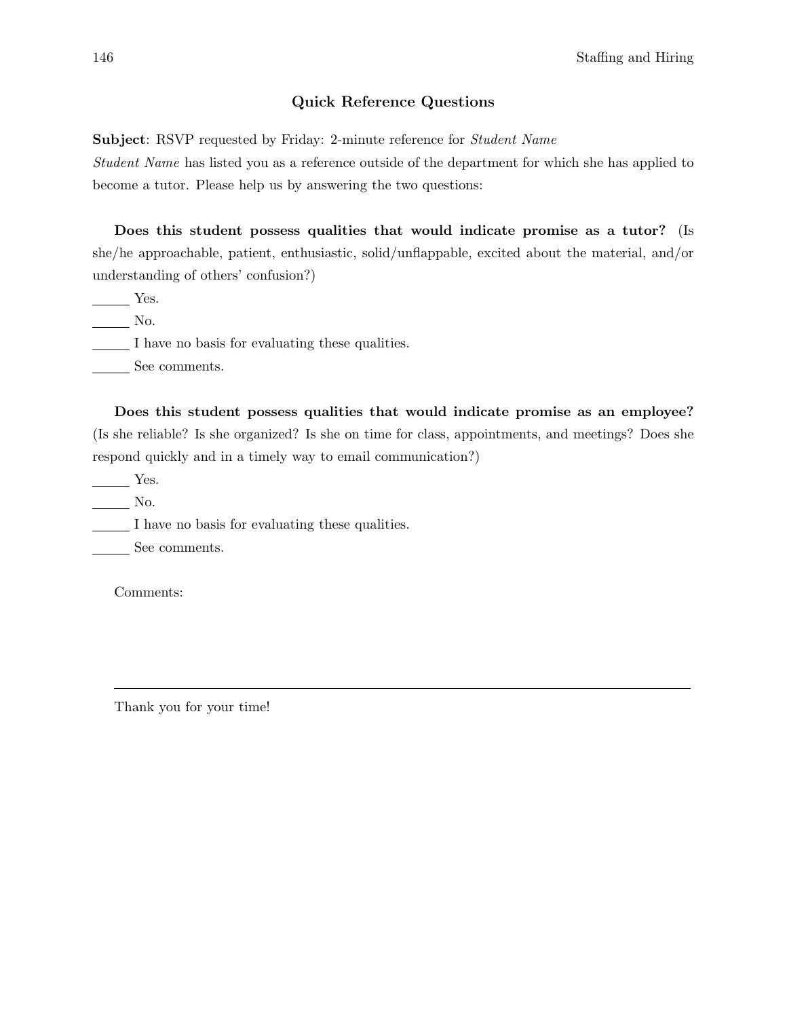#### Quick Reference Questions

Subject: RSVP requested by Friday: 2-minute reference for *Student Name* 

Student Name has listed you as a reference outside of the department for which she has applied to become a tutor. Please help us by answering the two questions:

Does this student possess qualities that would indicate promise as a tutor? (Is she/he approachable, patient, enthusiastic, solid/unflappable, excited about the material, and/or understanding of others' confusion?)

Yes.

No.

I have no basis for evaluating these qualities.

See comments.

Does this student possess qualities that would indicate promise as an employee? (Is she reliable? Is she organized? Is she on time for class, appointments, and meetings? Does she respond quickly and in a timely way to email communication?)

Yes.

No.

I have no basis for evaluating these qualities.

See comments.

Comments:

Thank you for your time!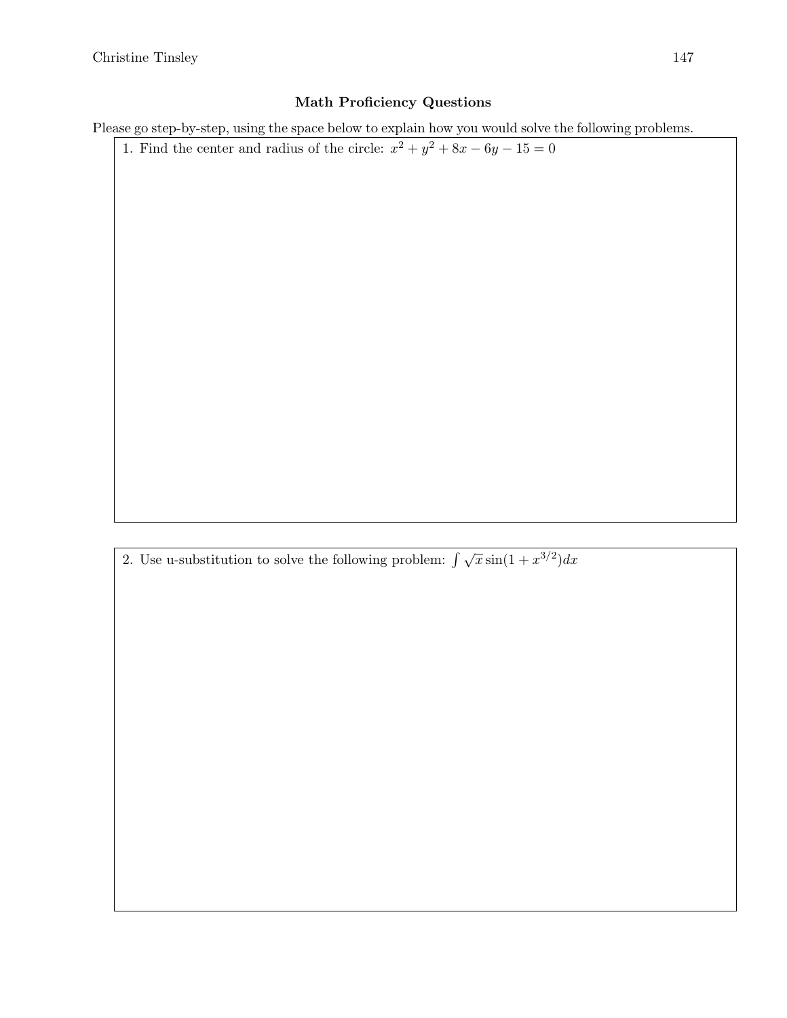### Math Proficiency Questions

Please go step-by-step, using the space below to explain how you would solve the following problems.

1. Find the center and radius of the circle:  $x^2 + y^2 + 8x - 6y - 15 = 0$ 

2. Use u-substitution to solve the following problem:  $\int \sqrt{x} \sin(1 + x^{3/2}) dx$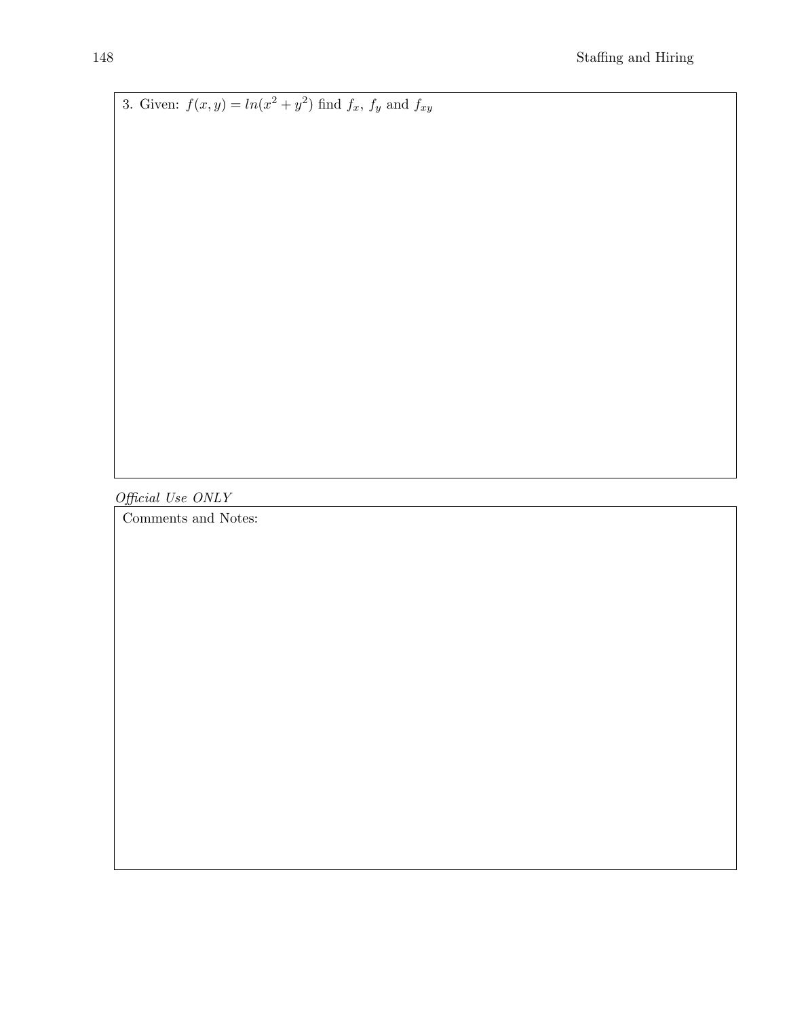3. Given:  $f(x,y) = ln(x^2 + y^2)$  find  $f_x$ ,  $f_y$  and  $f_{xy}$ 

Official Use ONLY

Comments and Notes: